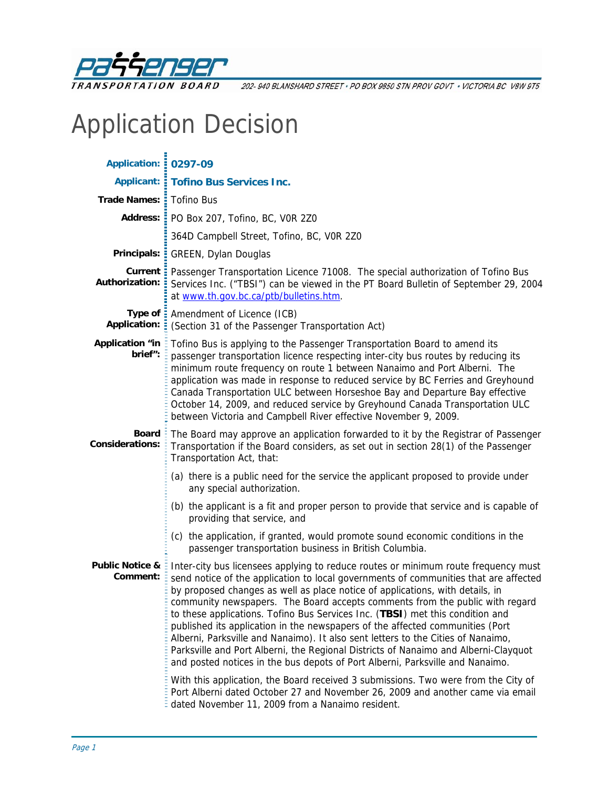

202-940 BLANSHARD STREET · PO BOX 9850 STN PROV GOVT · VICTORIA BC V8W 9T5

# Application Decision

| <b>Application: : 0297-09</b>                                                                                                                                                                                                                    |                                                                                                                                                                                                                                                                                                                                                                                                                                                                                                                                                                                                                                                                                                                                                                                                                                                                 |  |  |  |
|--------------------------------------------------------------------------------------------------------------------------------------------------------------------------------------------------------------------------------------------------|-----------------------------------------------------------------------------------------------------------------------------------------------------------------------------------------------------------------------------------------------------------------------------------------------------------------------------------------------------------------------------------------------------------------------------------------------------------------------------------------------------------------------------------------------------------------------------------------------------------------------------------------------------------------------------------------------------------------------------------------------------------------------------------------------------------------------------------------------------------------|--|--|--|
|                                                                                                                                                                                                                                                  | <b>Applicant: : Tofino Bus Services Inc.</b>                                                                                                                                                                                                                                                                                                                                                                                                                                                                                                                                                                                                                                                                                                                                                                                                                    |  |  |  |
| Trade Names: : Tofino Bus                                                                                                                                                                                                                        |                                                                                                                                                                                                                                                                                                                                                                                                                                                                                                                                                                                                                                                                                                                                                                                                                                                                 |  |  |  |
|                                                                                                                                                                                                                                                  | Address: PO Box 207, Tofino, BC, VOR 2Z0                                                                                                                                                                                                                                                                                                                                                                                                                                                                                                                                                                                                                                                                                                                                                                                                                        |  |  |  |
|                                                                                                                                                                                                                                                  | 364D Campbell Street, Tofino, BC, VOR 2Z0                                                                                                                                                                                                                                                                                                                                                                                                                                                                                                                                                                                                                                                                                                                                                                                                                       |  |  |  |
|                                                                                                                                                                                                                                                  | Principals: : GREEN, Dylan Douglas                                                                                                                                                                                                                                                                                                                                                                                                                                                                                                                                                                                                                                                                                                                                                                                                                              |  |  |  |
| Authorization:                                                                                                                                                                                                                                   | Current : Passenger Transportation Licence 71008. The special authorization of Tofino Bus<br>Services Inc. ("TBSI") can be viewed in the PT Board Bulletin of September 29, 2004<br>at www.th.gov.bc.ca/ptb/bulletins.htm.                                                                                                                                                                                                                                                                                                                                                                                                                                                                                                                                                                                                                                      |  |  |  |
| Application: =                                                                                                                                                                                                                                   | Type of : Amendment of Licence (ICB)<br>(Section 31 of the Passenger Transportation Act)                                                                                                                                                                                                                                                                                                                                                                                                                                                                                                                                                                                                                                                                                                                                                                        |  |  |  |
| <b>Application "in</b><br>brief":                                                                                                                                                                                                                | Tofino Bus is applying to the Passenger Transportation Board to amend its<br>passenger transportation licence respecting inter-city bus routes by reducing its<br>minimum route frequency on route 1 between Nanaimo and Port Alberni. The<br>application was made in response to reduced service by BC Ferries and Greyhound<br>Canada Transportation ULC between Horseshoe Bay and Departure Bay effective<br>October 14, 2009, and reduced service by Greyhound Canada Transportation ULC<br>between Victoria and Campbell River effective November 9, 2009.                                                                                                                                                                                                                                                                                                 |  |  |  |
| <b>Board</b><br>The Board may approve an application forwarded to it by the Registrar of Passenger<br><b>Considerations:</b><br>Transportation if the Board considers, as set out in section 28(1) of the Passenger<br>Transportation Act, that: |                                                                                                                                                                                                                                                                                                                                                                                                                                                                                                                                                                                                                                                                                                                                                                                                                                                                 |  |  |  |
|                                                                                                                                                                                                                                                  | (a) there is a public need for the service the applicant proposed to provide under<br>any special authorization.                                                                                                                                                                                                                                                                                                                                                                                                                                                                                                                                                                                                                                                                                                                                                |  |  |  |
|                                                                                                                                                                                                                                                  | (b) the applicant is a fit and proper person to provide that service and is capable of<br>providing that service, and                                                                                                                                                                                                                                                                                                                                                                                                                                                                                                                                                                                                                                                                                                                                           |  |  |  |
|                                                                                                                                                                                                                                                  | (c) the application, if granted, would promote sound economic conditions in the<br>passenger transportation business in British Columbia.                                                                                                                                                                                                                                                                                                                                                                                                                                                                                                                                                                                                                                                                                                                       |  |  |  |
| <b>Public Notice &amp;</b><br>Comment:                                                                                                                                                                                                           | Inter-city bus licensees applying to reduce routes or minimum route frequency must<br>send notice of the application to local governments of communities that are affected<br>by proposed changes as well as place notice of applications, with details, in<br>community newspapers. The Board accepts comments from the public with regard<br>to these applications. Tofino Bus Services Inc. (TBSI) met this condition and<br>published its application in the newspapers of the affected communities (Port<br>Alberni, Parksville and Nanaimo). It also sent letters to the Cities of Nanaimo,<br>Parksville and Port Alberni, the Regional Districts of Nanaimo and Alberni-Clayquot<br>and posted notices in the bus depots of Port Alberni, Parksville and Nanaimo.<br>With this application, the Board received 3 submissions. Two were from the City of |  |  |  |
|                                                                                                                                                                                                                                                  | Port Alberni dated October 27 and November 26, 2009 and another came via email<br>dated November 11, 2009 from a Nanaimo resident.                                                                                                                                                                                                                                                                                                                                                                                                                                                                                                                                                                                                                                                                                                                              |  |  |  |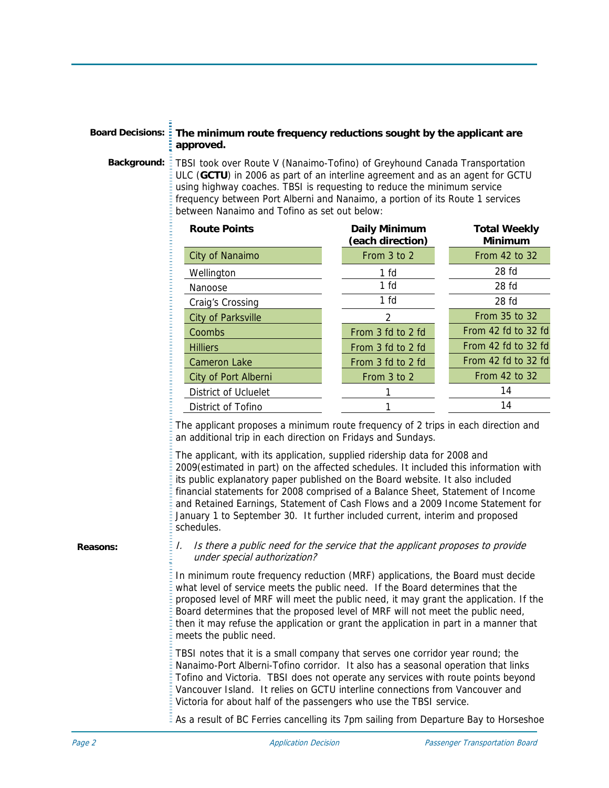# **Board Decisions: The minimum route frequency reductions sought by the applicant are approved.**

**Background:** TBSI took over Route V (Nanaimo-Tofino) of Greyhound Canada Transportation ULC (**GCTU**) in 2006 as part of an interline agreement and as an agent for GCTU using highway coaches. TBSI is requesting to reduce the minimum service frequency between Port Alberni and Nanaimo, a portion of its Route 1 services between Nanaimo and Tofino as set out below:

| <b>Route Points</b>       | <b>Daily Minimum</b><br>(each direction) | <b>Total Weekly</b><br><b>Minimum</b> |
|---------------------------|------------------------------------------|---------------------------------------|
| City of Nanaimo           | From 3 to 2                              | From 42 to 32                         |
| Wellington                | 1 <sub>fd</sub>                          | 28 <sub>fd</sub>                      |
| Nanoose                   | 1 <sub>fd</sub>                          | 28 <sub>fd</sub>                      |
| Craig's Crossing          | 1 <sub>fd</sub>                          | 28 <sub>fd</sub>                      |
| <b>City of Parksville</b> | 2                                        | From 35 to 32                         |
| Coombs                    | From 3 fd to 2 fd                        | From 42 fd to 32 fd                   |
| <b>Hilliers</b>           | From 3 fd to 2 fd                        | From 42 fd to 32 fd                   |
| <b>Cameron Lake</b>       | From 3 fd to 2 fd                        | From 42 fd to 32 fd                   |
| City of Port Alberni      | From 3 to 2                              | From 42 to 32                         |
| District of Ucluelet      |                                          | 14                                    |
| District of Tofino        |                                          | 14                                    |

The applicant proposes a minimum route frequency of 2 trips in each direction and an additional trip in each direction on Fridays and Sundays.

The applicant, with its application, supplied ridership data for 2008 and 2009(estimated in part) on the affected schedules. It included this information with its public explanatory paper published on the Board website. It also included financial statements for 2008 comprised of a Balance Sheet, Statement of Income and Retained Earnings, Statement of Cash Flows and a 2009 Income Statement for January 1 to September 30. It further included current, interim and proposed schedules.

**Reasons:** 

#### I. Is there a public need for the service that the applicant proposes to provide under special authorization?

In minimum route frequency reduction (MRF) applications, the Board must decide what level of service meets the public need. If the Board determines that the proposed level of MRF will meet the public need, it may grant the application. If the Board determines that the proposed level of MRF will not meet the public need, then it may refuse the application or grant the application in part in a manner that meets the public need.

TBSI notes that it is a small company that serves one corridor year round; the Nanaimo-Port Alberni-Tofino corridor. It also has a seasonal operation that links Tofino and Victoria. TBSI does not operate any services with route points beyond Vancouver Island. It relies on GCTU interline connections from Vancouver and Victoria for about half of the passengers who use the TBSI service.

As a result of BC Ferries cancelling its 7pm sailing from Departure Bay to Horseshoe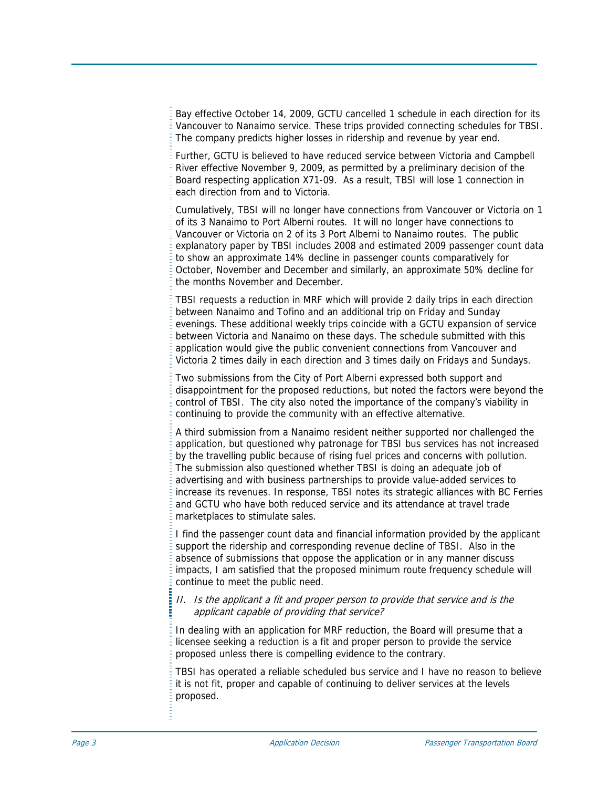Bay effective October 14, 2009, GCTU cancelled 1 schedule in each direction for its Vancouver to Nanaimo service. These trips provided connecting schedules for TBSI. The company predicts higher losses in ridership and revenue by year end.

Further, GCTU is believed to have reduced service between Victoria and Campbell River effective November 9, 2009, as permitted by a preliminary decision of the Board respecting application X71-09. As a result, TBSI will lose 1 connection in each direction from and to Victoria.

Cumulatively, TBSI will no longer have connections from Vancouver or Victoria on 1 of its 3 Nanaimo to Port Alberni routes. It will no longer have connections to Vancouver or Victoria on 2 of its 3 Port Alberni to Nanaimo routes. The public explanatory paper by TBSI includes 2008 and estimated 2009 passenger count data to show an approximate 14% decline in passenger counts comparatively for October, November and December and similarly, an approximate 50% decline for the months November and December.

TBSI requests a reduction in MRF which will provide 2 daily trips in each direction between Nanaimo and Tofino and an additional trip on Friday and Sunday evenings. These additional weekly trips coincide with a GCTU expansion of service between Victoria and Nanaimo on these days. The schedule submitted with this application would give the public convenient connections from Vancouver and Victoria 2 times daily in each direction and 3 times daily on Fridays and Sundays.

Two submissions from the City of Port Alberni expressed both support and disappointment for the proposed reductions, but noted the factors were beyond the control of TBSI. The city also noted the importance of the company's viability in continuing to provide the community with an effective alternative.

A third submission from a Nanaimo resident neither supported nor challenged the application, but questioned why patronage for TBSI bus services has not increased by the travelling public because of rising fuel prices and concerns with pollution. The submission also questioned whether TBSI is doing an adequate job of advertising and with business partnerships to provide value-added services to increase its revenues. In response, TBSI notes its strategic alliances with BC Ferries and GCTU who have both reduced service and its attendance at travel trade marketplaces to stimulate sales.

I find the passenger count data and financial information provided by the applicant support the ridership and corresponding revenue decline of TBSI. Also in the absence of submissions that oppose the application or in any manner discuss impacts, I am satisfied that the proposed minimum route frequency schedule will continue to meet the public need.

## II. Is the applicant a fit and proper person to provide that service and is the applicant capable of providing that service?

In dealing with an application for MRF reduction, the Board will presume that a licensee seeking a reduction is a fit and proper person to provide the service proposed unless there is compelling evidence to the contrary.

TBSI has operated a reliable scheduled bus service and I have no reason to believe it is not fit, proper and capable of continuing to deliver services at the levels proposed.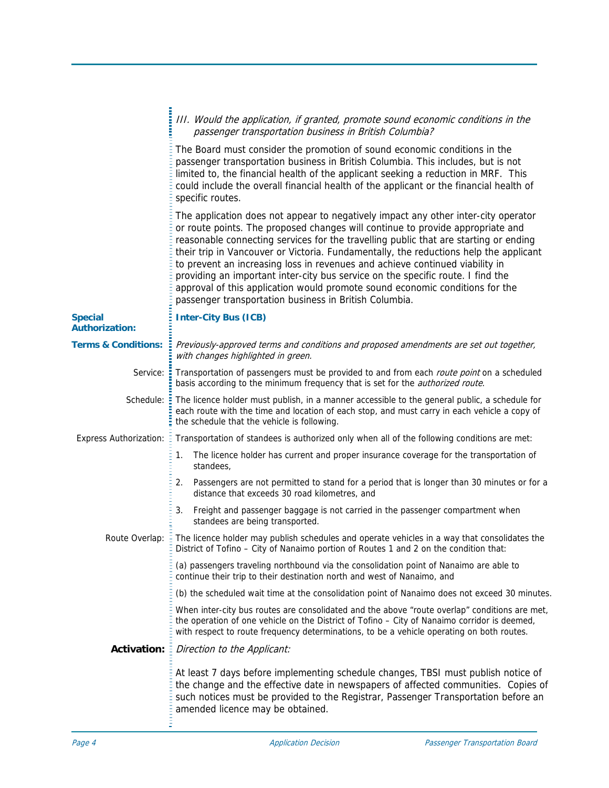|                                         | III. Would the application, if granted, promote sound economic conditions in the<br>passenger transportation business in British Columbia?                                                                                                                                                                                                                                                                                                                                                                                                                                                                                                                         |
|-----------------------------------------|--------------------------------------------------------------------------------------------------------------------------------------------------------------------------------------------------------------------------------------------------------------------------------------------------------------------------------------------------------------------------------------------------------------------------------------------------------------------------------------------------------------------------------------------------------------------------------------------------------------------------------------------------------------------|
|                                         | The Board must consider the promotion of sound economic conditions in the<br>passenger transportation business in British Columbia. This includes, but is not<br>limited to, the financial health of the applicant seeking a reduction in MRF. This<br>could include the overall financial health of the applicant or the financial health of<br>specific routes.                                                                                                                                                                                                                                                                                                  |
|                                         | The application does not appear to negatively impact any other inter-city operator<br>or route points. The proposed changes will continue to provide appropriate and<br>reasonable connecting services for the travelling public that are starting or ending<br>their trip in Vancouver or Victoria. Fundamentally, the reductions help the applicant<br>to prevent an increasing loss in revenues and achieve continued viability in<br>providing an important inter-city bus service on the specific route. I find the<br>approval of this application would promote sound economic conditions for the<br>passenger transportation business in British Columbia. |
| <b>Special</b><br><b>Authorization:</b> | <b>Inter-City Bus (ICB)</b>                                                                                                                                                                                                                                                                                                                                                                                                                                                                                                                                                                                                                                        |
| <b>Terms &amp; Conditions:</b>          | Previously-approved terms and conditions and proposed amendments are set out together,<br>with changes highlighted in green.                                                                                                                                                                                                                                                                                                                                                                                                                                                                                                                                       |
| Service:                                | Transportation of passengers must be provided to and from each route point on a scheduled<br>basis according to the minimum frequency that is set for the <i>authorized route</i> .                                                                                                                                                                                                                                                                                                                                                                                                                                                                                |
| Schedule:                               | The licence holder must publish, in a manner accessible to the general public, a schedule for<br>each route with the time and location of each stop, and must carry in each vehicle a copy of<br>the schedule that the vehicle is following.                                                                                                                                                                                                                                                                                                                                                                                                                       |
| <b>Express Authorization:</b>           | Transportation of standees is authorized only when all of the following conditions are met:                                                                                                                                                                                                                                                                                                                                                                                                                                                                                                                                                                        |
|                                         | The licence holder has current and proper insurance coverage for the transportation of<br>1.<br>standees,                                                                                                                                                                                                                                                                                                                                                                                                                                                                                                                                                          |
|                                         | Passengers are not permitted to stand for a period that is longer than 30 minutes or for a<br>2.<br>distance that exceeds 30 road kilometres, and                                                                                                                                                                                                                                                                                                                                                                                                                                                                                                                  |
|                                         | Freight and passenger baggage is not carried in the passenger compartment when<br>3.<br>standees are being transported.                                                                                                                                                                                                                                                                                                                                                                                                                                                                                                                                            |
| Route Overlap:                          | The licence holder may publish schedules and operate vehicles in a way that consolidates the<br>District of Tofino - City of Nanaimo portion of Routes 1 and 2 on the condition that:                                                                                                                                                                                                                                                                                                                                                                                                                                                                              |
|                                         | (a) passengers traveling northbound via the consolidation point of Nanaimo are able to<br>continue their trip to their destination north and west of Nanaimo, and                                                                                                                                                                                                                                                                                                                                                                                                                                                                                                  |
|                                         | (b) the scheduled wait time at the consolidation point of Nanaimo does not exceed 30 minutes.                                                                                                                                                                                                                                                                                                                                                                                                                                                                                                                                                                      |
|                                         | When inter-city bus routes are consolidated and the above "route overlap" conditions are met,<br>the operation of one vehicle on the District of Tofino - City of Nanaimo corridor is deemed,<br>with respect to route frequency determinations, to be a vehicle operating on both routes.                                                                                                                                                                                                                                                                                                                                                                         |
| <b>Activation:</b>                      | Direction to the Applicant:                                                                                                                                                                                                                                                                                                                                                                                                                                                                                                                                                                                                                                        |
|                                         | At least 7 days before implementing schedule changes, TBSI must publish notice of<br>the change and the effective date in newspapers of affected communities. Copies of<br>such notices must be provided to the Registrar, Passenger Transportation before an<br>amended licence may be obtained.                                                                                                                                                                                                                                                                                                                                                                  |
|                                         |                                                                                                                                                                                                                                                                                                                                                                                                                                                                                                                                                                                                                                                                    |

i.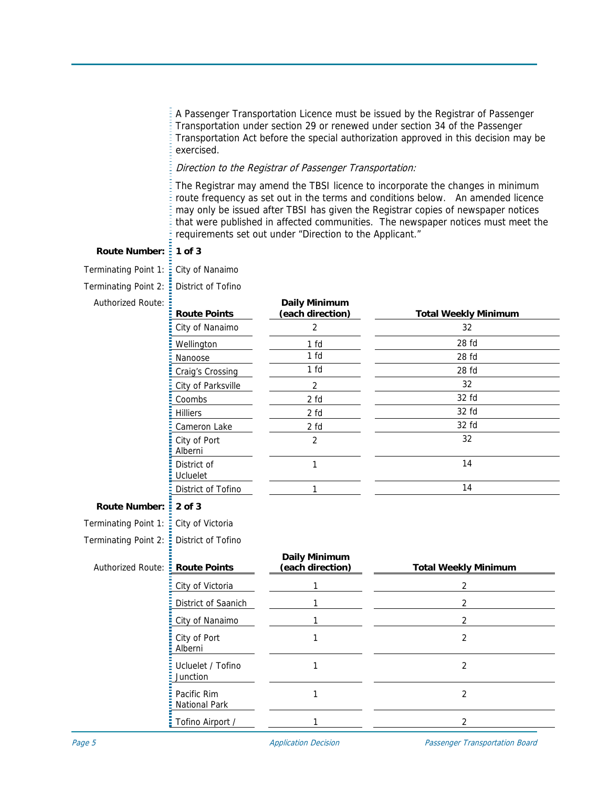A Passenger Transportation Licence must be issued by the Registrar of Passenger Transportation under section 29 or renewed under section 34 of the Passenger Transportation Act before the special authorization approved in this decision may be exercised.

### Direction to the Registrar of Passenger Transportation:

The Registrar may amend the TBSI licence to incorporate the changes in minimum route frequency as set out in the terms and conditions below. An amended licence may only be issued after TBSI has given the Registrar copies of newspaper notices that were published in affected communities. The newspaper notices must meet the requirements set out under "Direction to the Applicant."

# Route Number:  $\frac{1}{2}$  1 of 3

Terminating Point 1:  $\frac{1}{2}$  City of Nanaimo Terminating Point 2: District of Tofino

Authorized

| Route: | <b>Route Points</b>            | <b>Daily Minimum</b><br>(each direction) | <b>Total Weekly Minimum</b> |
|--------|--------------------------------|------------------------------------------|-----------------------------|
|        | City of Nanaimo                | 2                                        | 32                          |
|        | Wellington                     | 1 fd                                     | 28 fd                       |
|        | Nanoose                        | 1 fd                                     | 28 <sub>fd</sub>            |
|        | Craig's Crossing               | 1 fd                                     | 28 fd                       |
|        | City of Parksville             | 2                                        | 32                          |
|        | Coombs                         | 2 fd                                     | 32 fd                       |
|        | <b>Hilliers</b>                | 2 fd                                     | 32 fd                       |
|        | Cameron Lake                   | 2 fd                                     | 32 fd                       |
|        | City of Port<br>Alberni        | $\overline{2}$                           | 32                          |
|        | District of<br><b>Ucluelet</b> |                                          | 14                          |
|        | District of Tofino             | 1                                        | 14                          |
| mber:  | $2$ of $3$                     |                                          |                             |

**Route Num** 

Terminating Point 1: City of Victoria Terminating Point  $2:$  District of Tofin

| erminating Point 2: E District of Tofino |  |
|------------------------------------------|--|
|                                          |  |

| Authorized Route: : Route Points |                                       | <b>Daily Minimum</b><br>(each direction) | <b>Total Weekly Minimum</b> |
|----------------------------------|---------------------------------------|------------------------------------------|-----------------------------|
|                                  | City of Victoria                      |                                          | 2                           |
|                                  | District of Saanich                   |                                          |                             |
|                                  | City of Nanaimo                       |                                          |                             |
|                                  | $\frac{1}{2}$ City of Port<br>Alberni |                                          |                             |
|                                  | Ucluelet / Tofino<br>Junction         |                                          |                             |
|                                  | <b>E</b> Pacific Rim<br>National Park |                                          |                             |
|                                  | $\frac{1}{2}$ Tofino Airport /        |                                          |                             |